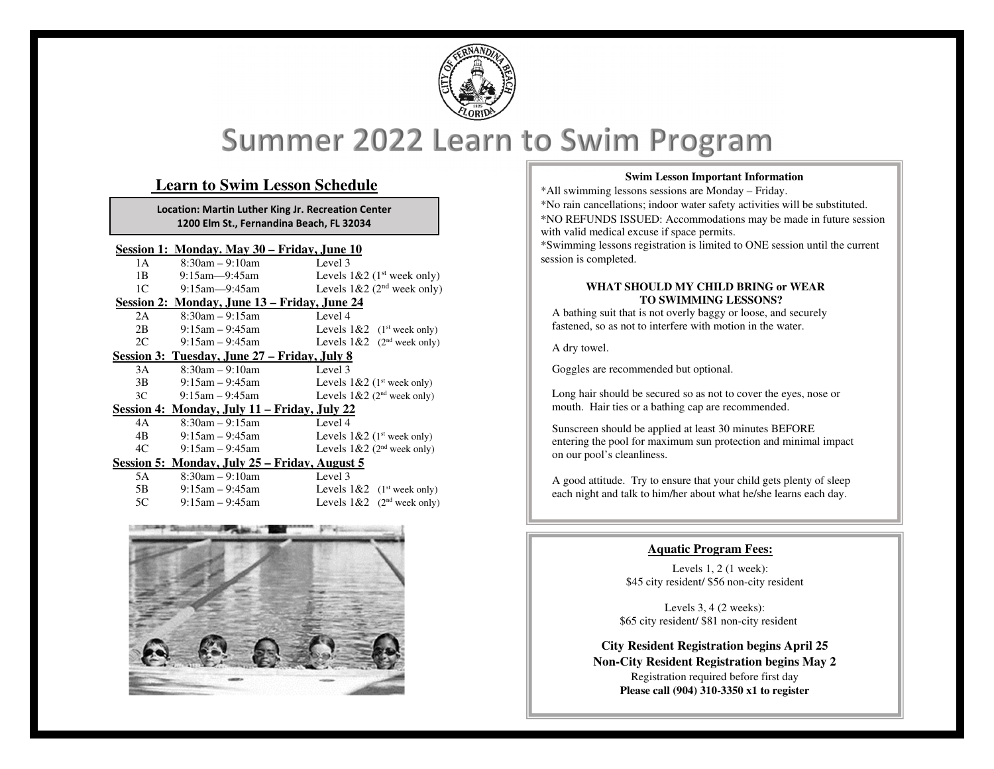

# Summer 2022 Learn to Swim Program

# **Learn to Swim Lesson Schedule**

**Location: Martin Luther King Jr. Recreation Center 1200 Elm St., Fernandina Beach, FL 32034**

#### **Session 1: Monday. May 30 – Friday, June 10**

| 1 A                                           | $8:30am - 9:10am$                            | Level 3                                              |
|-----------------------------------------------|----------------------------------------------|------------------------------------------------------|
| 1B                                            | $9:15$ am— $9:45$ am                         | Levels $1&2 (1st week only)$                         |
|                                               | $1C \t 9:15am-9:45am$                        | Levels $1&2(2nd week only)$                          |
|                                               | Session 2: Monday, June 13 – Friday, June 24 |                                                      |
| 2A                                            | 8:30am – 9:15am                              | Level 4                                              |
| 2B                                            | 9:15am – 9:45am                              | Levels $1&2 \quad (1^{\text{st}} \text{ week only})$ |
|                                               | $2C \t 9:15am - 9:45am$                      | Levels $1&2$ (2 <sup>nd</sup> week only)             |
| Session 3: Tuesday, June 27 – Friday, July 8  |                                              |                                                      |
| 3A                                            | $8:30$ am $-9:10$ am                         | Level 3                                              |
| 3B                                            | 9:15am – 9:45am                              | Levels $1&2$ (1 <sup>st</sup> week only)             |
| 3C                                            | 9:15am – 9:45am                              | Levels $1&2$ (2 <sup>nd</sup> week only)             |
|                                               | Session 4: Monday, July 11 – Friday, July 22 |                                                      |
| 4A                                            | $8:30$ am $-9:15$ am                         | Level 4                                              |
| 4B                                            | 9:15am – 9:45am                              | Levels $1&2$ (1 <sup>st</sup> week only)             |
| 4C                                            | 9:15am – 9:45am                              | Levels $1&2$ (2 <sup>nd</sup> week only)             |
| Session 5: Monday, July 25 – Friday, August 5 |                                              |                                                      |
| 5A                                            | $8:30am - 9:10am$                            | Level 3                                              |
| 5B —                                          | $9:15$ am $-9:45$ am                         | Levels $1& 2 \quad (1st week only)$                  |
| 5C                                            | $9:15$ am $-9:45$ am                         | Levels $1&2 \cdot (2nd week only)$                   |



#### **Swim Lesson Important Information**

\*All swimming lessons sessions are Monday – Friday. \*No rain cancellations; indoor water safety activities will be substituted. \*NO REFUNDS ISSUED: Accommodations may be made in future session with valid medical excuse if space permits. \*Swimming lessons registration is limited to ONE session until the current session is completed.

#### **WHAT SHOULD MY CHILD BRING or WEAR TO SWIMMING LESSONS?**

 A bathing suit that is not overly baggy or loose, and securely fastened, so as not to interfere with motion in the water.

A dry towel.

Goggles are recommended but optional.

Long hair should be secured so as not to cover the eyes, nose or mouth. Hair ties or a bathing cap are recommended.

Sunscreen should be applied at least 30 minutes BEFORE entering the pool for maximum sun protection and minimal impact on our pool's cleanliness.

A good attitude. Try to ensure that your child gets plenty of sleep each night and talk to him/her about what he/she learns each day.

### **Aquatic Program Fees:**

Levels 1, 2 (1 week): \$45 city resident/ \$56 non-city resident

Levels 3, 4 (2 weeks): \$65 city resident/ \$81 non-city resident

**City Resident Registration begins April 25 Non-City Resident Registration begins May 2** Registration required before first day **Please call (904) 310-3350 x1 to register**